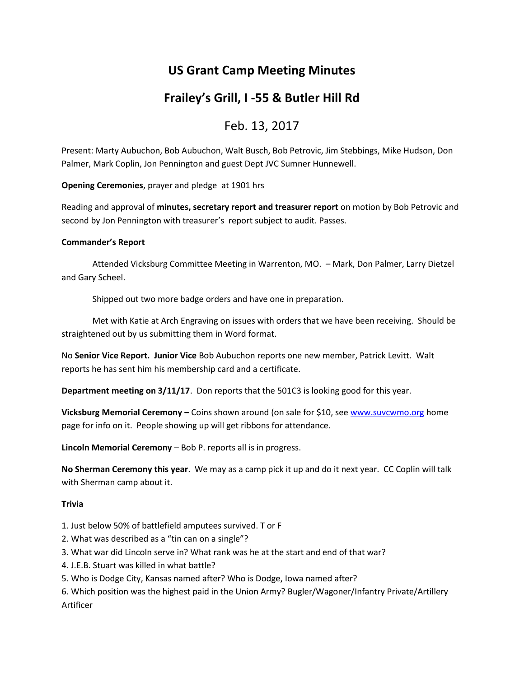# **US Grant Camp Meeting Minutes**

## **Frailey's Grill, I -55 & Butler Hill Rd**

### Feb. 13, 2017

Present: Marty Aubuchon, Bob Aubuchon, Walt Busch, Bob Petrovic, Jim Stebbings, Mike Hudson, Don Palmer, Mark Coplin, Jon Pennington and guest Dept JVC Sumner Hunnewell.

**Opening Ceremonies**, prayer and pledge at 1901 hrs

Reading and approval of **minutes, secretary report and treasurer report** on motion by Bob Petrovic and second by Jon Pennington with treasurer's report subject to audit. Passes.

#### **Commander's Report**

Attended Vicksburg Committee Meeting in Warrenton, MO. – Mark, Don Palmer, Larry Dietzel and Gary Scheel.

Shipped out two more badge orders and have one in preparation.

Met with Katie at Arch Engraving on issues with orders that we have been receiving. Should be straightened out by us submitting them in Word format.

No **Senior Vice Report. Junior Vice** Bob Aubuchon reports one new member, Patrick Levitt. Walt reports he has sent him his membership card and a certificate.

**Department meeting on 3/11/17**. Don reports that the 501C3 is looking good for this year.

**Vicksburg Memorial Ceremony –** Coins shown around (on sale for \$10, se[e www.suvcwmo.org](http://www.suvcwmo.org/) home page for info on it. People showing up will get ribbons for attendance.

**Lincoln Memorial Ceremony** – Bob P. reports all is in progress.

**No Sherman Ceremony this year**. We may as a camp pick it up and do it next year. CC Coplin will talk with Sherman camp about it.

#### **Trivia**

1. Just below 50% of battlefield amputees survived. T or F

- 2. What was described as a "tin can on a single"?
- 3. What war did Lincoln serve in? What rank was he at the start and end of that war?
- 4. J.E.B. Stuart was killed in what battle?
- 5. Who is Dodge City, Kansas named after? Who is Dodge, Iowa named after?

6. Which position was the highest paid in the Union Army? Bugler/Wagoner/Infantry Private/Artillery Artificer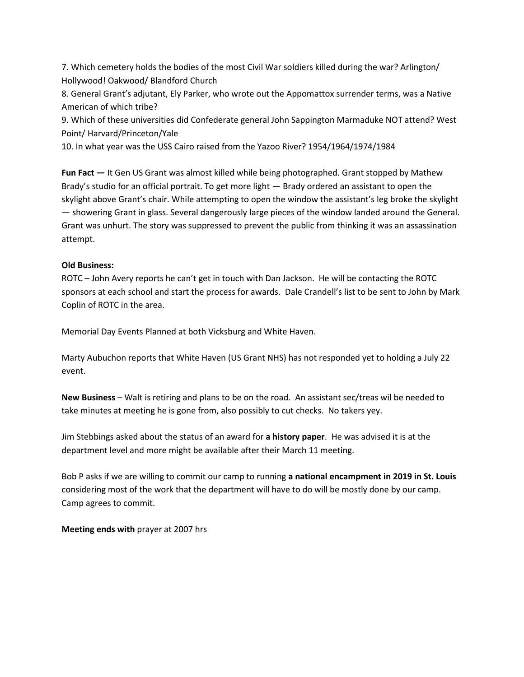7. Which cemetery holds the bodies of the most Civil War soldiers killed during the war? Arlington/ Hollywood! Oakwood/ Blandford Church

8. General Grant's adjutant, Ely Parker, who wrote out the Appomattox surrender terms, was a Native American of which tribe?

9. Which of these universities did Confederate general John Sappington Marmaduke NOT attend? West Point/ Harvard/Princeton/Yale

10. In what year was the USS Cairo raised from the Yazoo River? 1954/1964/1974/1984

**Fun Fact —** It Gen US Grant was almost killed while being photographed. Grant stopped by Mathew Brady's studio for an official portrait. To get more light — Brady ordered an assistant to open the skylight above Grant's chair. While attempting to open the window the assistant's leg broke the skylight — showering Grant in glass. Several dangerously large pieces of the window landed around the General. Grant was unhurt. The story was suppressed to prevent the public from thinking it was an assassination attempt.

#### **Old Business:**

ROTC – John Avery reports he can't get in touch with Dan Jackson. He will be contacting the ROTC sponsors at each school and start the process for awards. Dale Crandell's list to be sent to John by Mark Coplin of ROTC in the area.

Memorial Day Events Planned at both Vicksburg and White Haven.

Marty Aubuchon reports that White Haven (US Grant NHS) has not responded yet to holding a July 22 event.

**New Business** – Walt is retiring and plans to be on the road. An assistant sec/treas wil be needed to take minutes at meeting he is gone from, also possibly to cut checks. No takers yey.

Jim Stebbings asked about the status of an award for **a history paper**. He was advised it is at the department level and more might be available after their March 11 meeting.

Bob P asks if we are willing to commit our camp to running **a national encampment in 2019 in St. Louis** considering most of the work that the department will have to do will be mostly done by our camp. Camp agrees to commit.

**Meeting ends with** prayer at 2007 hrs